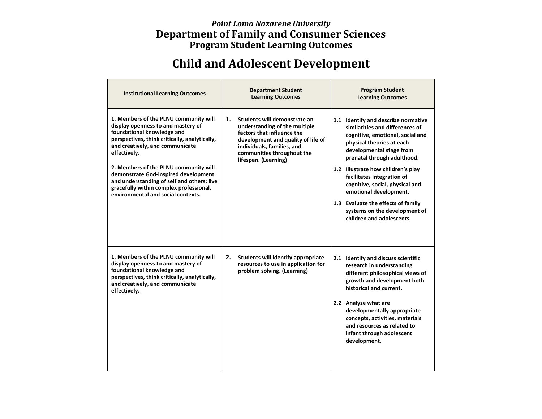## *Point Loma Nazarene University* **Department of Family and Consumer Sciences Program Student Learning Outcomes**

## **Child and Adolescent Development**

| <b>Institutional Learning Outcomes</b>                                                                                                                                                                                                                                                                                                                                                                                        | <b>Department Student</b><br><b>Learning Outcomes</b>                                                                                                                                                                       | <b>Program Student</b><br><b>Learning Outcomes</b>                                                                                                                                                                                                                                                                                                                                                                                      |
|-------------------------------------------------------------------------------------------------------------------------------------------------------------------------------------------------------------------------------------------------------------------------------------------------------------------------------------------------------------------------------------------------------------------------------|-----------------------------------------------------------------------------------------------------------------------------------------------------------------------------------------------------------------------------|-----------------------------------------------------------------------------------------------------------------------------------------------------------------------------------------------------------------------------------------------------------------------------------------------------------------------------------------------------------------------------------------------------------------------------------------|
| 1. Members of the PLNU community will<br>display openness to and mastery of<br>foundational knowledge and<br>perspectives, think critically, analytically,<br>and creatively, and communicate<br>effectively.<br>2. Members of the PLNU community will<br>demonstrate God-inspired development<br>and understanding of self and others; live<br>gracefully within complex professional,<br>environmental and social contexts. | 1.<br>Students will demonstrate an<br>understanding of the multiple<br>factors that influence the<br>development and quality of life of<br>individuals, families, and<br>communities throughout the<br>lifespan. (Learning) | 1.1 Identify and describe normative<br>similarities and differences of<br>cognitive, emotional, social and<br>physical theories at each<br>developmental stage from<br>prenatal through adulthood.<br>1.2 Illustrate how children's play<br>facilitates integration of<br>cognitive, social, physical and<br>emotional development.<br>1.3 Evaluate the effects of family<br>systems on the development of<br>children and adolescents. |
| 1. Members of the PLNU community will<br>display openness to and mastery of<br>foundational knowledge and<br>perspectives, think critically, analytically,<br>and creatively, and communicate<br>effectively.                                                                                                                                                                                                                 | 2.<br>Students will identify appropriate<br>resources to use in application for<br>problem solving. (Learning)                                                                                                              | 2.1 Identify and discuss scientific<br>research in understanding<br>different philosophical views of<br>growth and development both<br>historical and current.<br>2.2 Analyze what are<br>developmentally appropriate<br>concepts, activities, materials<br>and resources as related to<br>infant through adolescent<br>development.                                                                                                    |